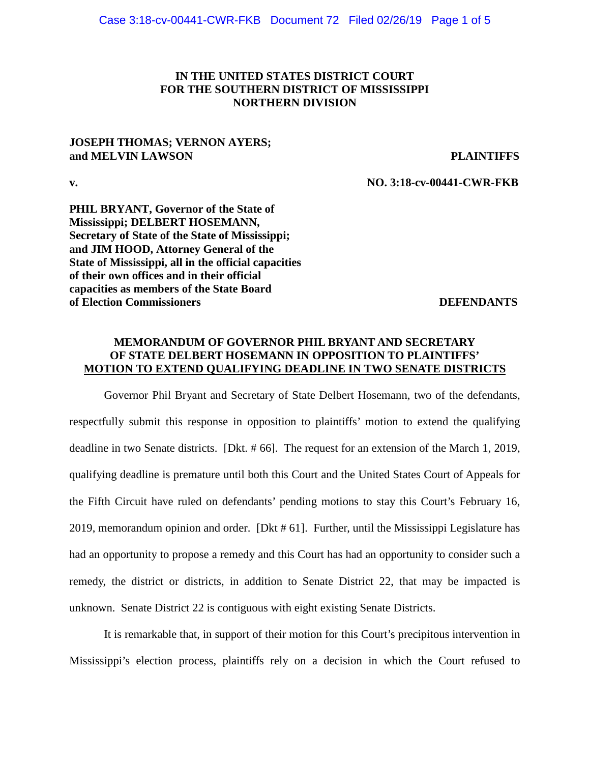## **IN THE UNITED STATES DISTRICT COURT FOR THE SOUTHERN DISTRICT OF MISSISSIPPI NORTHERN DIVISION**

## **JOSEPH THOMAS; VERNON AYERS; and MELVIN LAWSON PLAINTIFFS**

**v. NO. 3:18-cv-00441-CWR-FKB**

**PHIL BRYANT, Governor of the State of Mississippi; DELBERT HOSEMANN, Secretary of State of the State of Mississippi; and JIM HOOD, Attorney General of the State of Mississippi, all in the official capacities of their own offices and in their official capacities as members of the State Board of Election Commissioners DEFENDANTS** 

# **MEMORANDUM OF GOVERNOR PHIL BRYANT AND SECRETARY OF STATE DELBERT HOSEMANN IN OPPOSITION TO PLAINTIFFS' MOTION TO EXTEND QUALIFYING DEADLINE IN TWO SENATE DISTRICTS**

Governor Phil Bryant and Secretary of State Delbert Hosemann, two of the defendants, respectfully submit this response in opposition to plaintiffs' motion to extend the qualifying deadline in two Senate districts. [Dkt. # 66]. The request for an extension of the March 1, 2019, qualifying deadline is premature until both this Court and the United States Court of Appeals for the Fifth Circuit have ruled on defendants' pending motions to stay this Court's February 16, 2019, memorandum opinion and order. [Dkt # 61]. Further, until the Mississippi Legislature has had an opportunity to propose a remedy and this Court has had an opportunity to consider such a remedy, the district or districts, in addition to Senate District 22, that may be impacted is unknown. Senate District 22 is contiguous with eight existing Senate Districts.

It is remarkable that, in support of their motion for this Court's precipitous intervention in Mississippi's election process, plaintiffs rely on a decision in which the Court refused to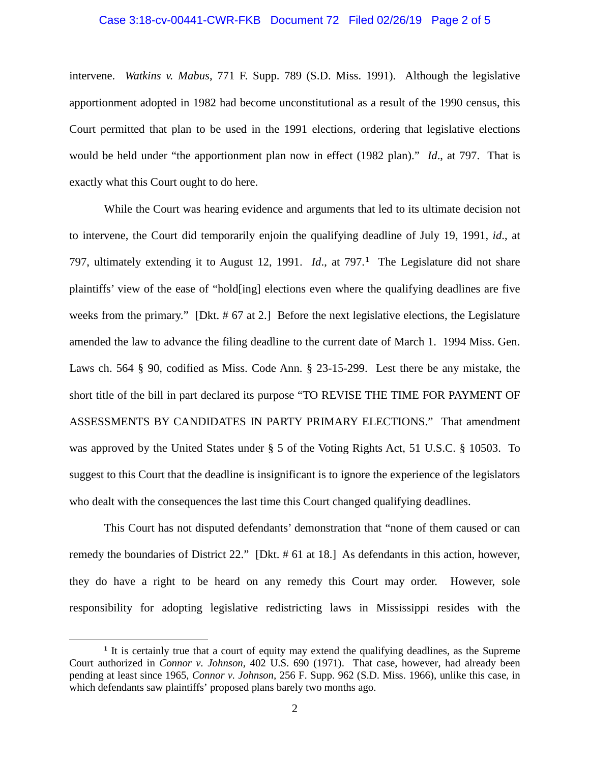#### Case 3:18-cv-00441-CWR-FKB Document 72 Filed 02/26/19 Page 2 of 5

intervene. *Watkins v. Mabus*, 771 F. Supp. 789 (S.D. Miss. 1991). Although the legislative apportionment adopted in 1982 had become unconstitutional as a result of the 1990 census, this Court permitted that plan to be used in the 1991 elections, ordering that legislative elections would be held under "the apportionment plan now in effect (1982 plan)." *Id*., at 797. That is exactly what this Court ought to do here.

While the Court was hearing evidence and arguments that led to its ultimate decision not to intervene, the Court did temporarily enjoin the qualifying deadline of July 19, 1991, *id*., at 797, ultimately extending it to August 12, 1991. *Id*., at 797.**[1](#page-1-0)** The Legislature did not share plaintiffs' view of the ease of "hold[ing] elections even where the qualifying deadlines are five weeks from the primary." [Dkt. # 67 at 2.] Before the next legislative elections, the Legislature amended the law to advance the filing deadline to the current date of March 1. 1994 Miss. Gen. Laws ch. 564 § 90, codified as Miss. Code Ann. § 23-15-299. Lest there be any mistake, the short title of the bill in part declared its purpose "TO REVISE THE TIME FOR PAYMENT OF ASSESSMENTS BY CANDIDATES IN PARTY PRIMARY ELECTIONS." That amendment was approved by the United States under § 5 of the Voting Rights Act, 51 U.S.C. § 10503. To suggest to this Court that the deadline is insignificant is to ignore the experience of the legislators who dealt with the consequences the last time this Court changed qualifying deadlines.

This Court has not disputed defendants' demonstration that "none of them caused or can remedy the boundaries of District 22." [Dkt. # 61 at 18.] As defendants in this action, however, they do have a right to be heard on any remedy this Court may order. However, sole responsibility for adopting legislative redistricting laws in Mississippi resides with the

 $\overline{a}$ 

<span id="page-1-0"></span>**<sup>1</sup>** It is certainly true that a court of equity may extend the qualifying deadlines, as the Supreme Court authorized in *Connor v. Johnson*, 402 U.S. 690 (1971). That case, however, had already been pending at least since 1965, *Connor v. Johnson*, 256 F. Supp. 962 (S.D. Miss. 1966), unlike this case, in which defendants saw plaintiffs' proposed plans barely two months ago.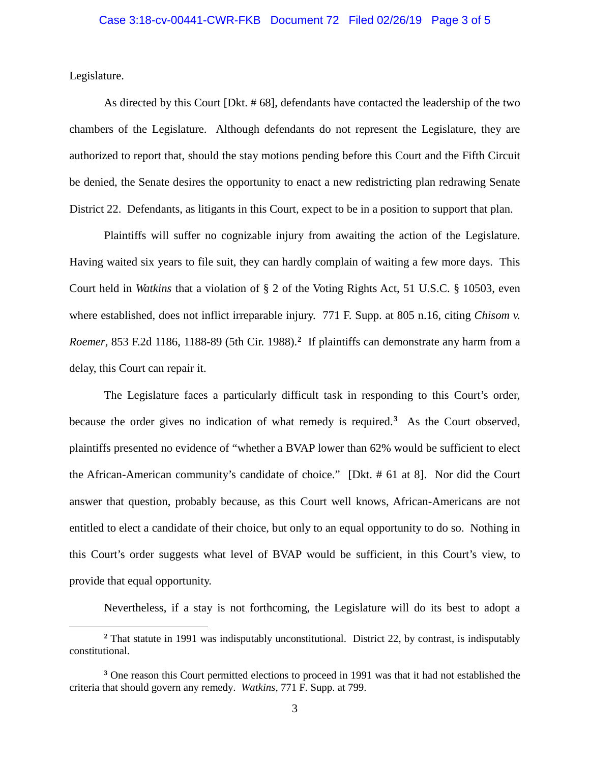Legislature.

 $\overline{a}$ 

As directed by this Court [Dkt. # 68], defendants have contacted the leadership of the two chambers of the Legislature. Although defendants do not represent the Legislature, they are authorized to report that, should the stay motions pending before this Court and the Fifth Circuit be denied, the Senate desires the opportunity to enact a new redistricting plan redrawing Senate District 22. Defendants, as litigants in this Court, expect to be in a position to support that plan.

Plaintiffs will suffer no cognizable injury from awaiting the action of the Legislature. Having waited six years to file suit, they can hardly complain of waiting a few more days. This Court held in *Watkins* that a violation of § 2 of the Voting Rights Act, 51 U.S.C. § 10503, even where established, does not inflict irreparable injury. 771 F. Supp. at 805 n.16, citing *Chisom v. Roemer*, 853 F.2d 1186, 1188-89 (5th Cir. 1988).**[2](#page-2-0)** If plaintiffs can demonstrate any harm from a delay, this Court can repair it.

The Legislature faces a particularly difficult task in responding to this Court's order, because the order gives no indication of what remedy is required.**[3](#page-2-1)** As the Court observed, plaintiffs presented no evidence of "whether a BVAP lower than 62% would be sufficient to elect the African-American community's candidate of choice." [Dkt. # 61 at 8]. Nor did the Court answer that question, probably because, as this Court well knows, African-Americans are not entitled to elect a candidate of their choice, but only to an equal opportunity to do so. Nothing in this Court's order suggests what level of BVAP would be sufficient, in this Court's view, to provide that equal opportunity.

Nevertheless, if a stay is not forthcoming, the Legislature will do its best to adopt a

<span id="page-2-0"></span>**<sup>2</sup>** That statute in 1991 was indisputably unconstitutional. District 22, by contrast, is indisputably constitutional.

<span id="page-2-1"></span>**<sup>3</sup>** One reason this Court permitted elections to proceed in 1991 was that it had not established the criteria that should govern any remedy. *Watkins*, 771 F. Supp. at 799.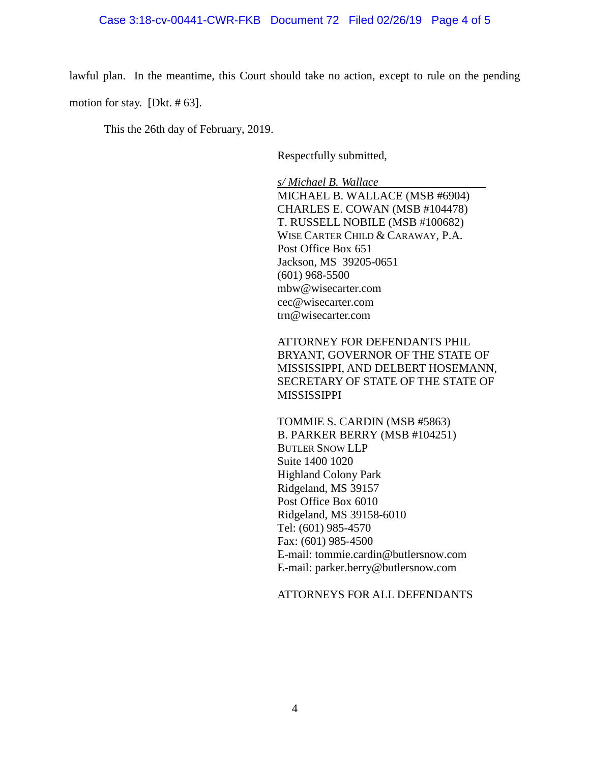### Case 3:18-cv-00441-CWR-FKB Document 72 Filed 02/26/19 Page 4 of 5

lawful plan. In the meantime, this Court should take no action, except to rule on the pending motion for stay. [Dkt. # 63].

This the 26th day of February, 2019.

Respectfully submitted,

*s/ Michael B. Wallace* MICHAEL B. WALLACE (MSB #6904) CHARLES E. COWAN (MSB #104478) T. RUSSELL NOBILE (MSB #100682) WISE CARTER CHILD & CARAWAY, P.A. Post Office Box 651 Jackson, MS 39205-0651 (601) 968-5500 [mbw@wisecarter.com](mailto:mbw@wisecarter.com) cec@wisecarter.com trn@wisecarter.com

ATTORNEY FOR DEFENDANTS PHIL BRYANT, GOVERNOR OF THE STATE OF MISSISSIPPI, AND DELBERT HOSEMANN, SECRETARY OF STATE OF THE STATE OF MISSISSIPPI

TOMMIE S. CARDIN (MSB #5863) B. PARKER BERRY (MSB #104251) BUTLER SNOW LLP Suite 1400 1020 Highland Colony Park Ridgeland, MS 39157 Post Office Box 6010 Ridgeland, MS 39158-6010 Tel: (601) 985-4570 Fax: (601) 985-4500 E-mail: [tommie.cardin@butlersnow.com](mailto:tommie.cardin@butlersnow.com) E-mail: [parker.berry@butlersnow.com](mailto:parker.berry@butlersnow.com)

## ATTORNEYS FOR ALL DEFENDANTS